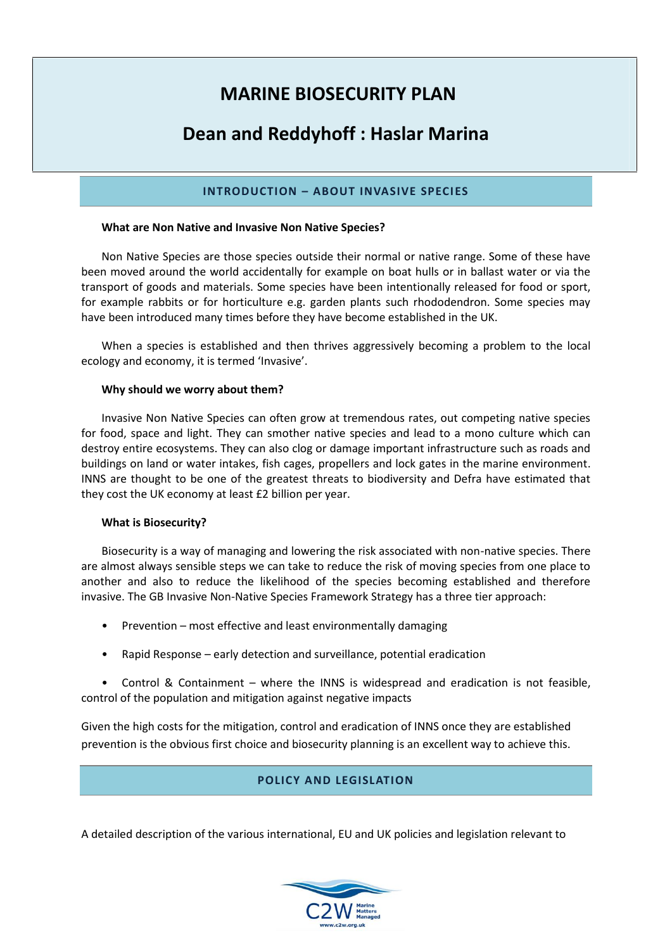# **MARINE BIOSECURITY PLAN**

# **Dean and Reddyhoff : Haslar Marina**

### **INTRODUCTION – ABOUT INVASIVE SPECIES**

#### **What are Non Native and Invasive Non Native Species?**

Non Native Species are those species outside their normal or native range. Some of these have been moved around the world accidentally for example on boat hulls or in ballast water or via the transport of goods and materials. Some species have been intentionally released for food or sport, for example rabbits or for horticulture e.g. garden plants such rhododendron. Some species may have been introduced many times before they have become established in the UK.

When a species is established and then thrives aggressively becoming a problem to the local ecology and economy, it is termed 'Invasive'.

#### **Why should we worry about them?**

Invasive Non Native Species can often grow at tremendous rates, out competing native species for food, space and light. They can smother native species and lead to a mono culture which can destroy entire ecosystems. They can also clog or damage important infrastructure such as roads and buildings on land or water intakes, fish cages, propellers and lock gates in the marine environment. INNS are thought to be one of the greatest threats to biodiversity and Defra have estimated that they cost the UK economy at least £2 billion per year.

#### **What is Biosecurity?**

Biosecurity is a way of managing and lowering the risk associated with non-native species. There are almost always sensible steps we can take to reduce the risk of moving species from one place to another and also to reduce the likelihood of the species becoming established and therefore invasive. The GB Invasive Non-Native Species Framework Strategy has a three tier approach:

- Prevention most effective and least environmentally damaging
- Rapid Response early detection and surveillance, potential eradication

• Control & Containment – where the INNS is widespread and eradication is not feasible, control of the population and mitigation against negative impacts

Given the high costs for the mitigation, control and eradication of INNS once they are established prevention is the obvious first choice and biosecurity planning is an excellent way to achieve this.

## **POLICY AND LEGISLATION**

A detailed description of the various international, EU and UK policies and legislation relevant to

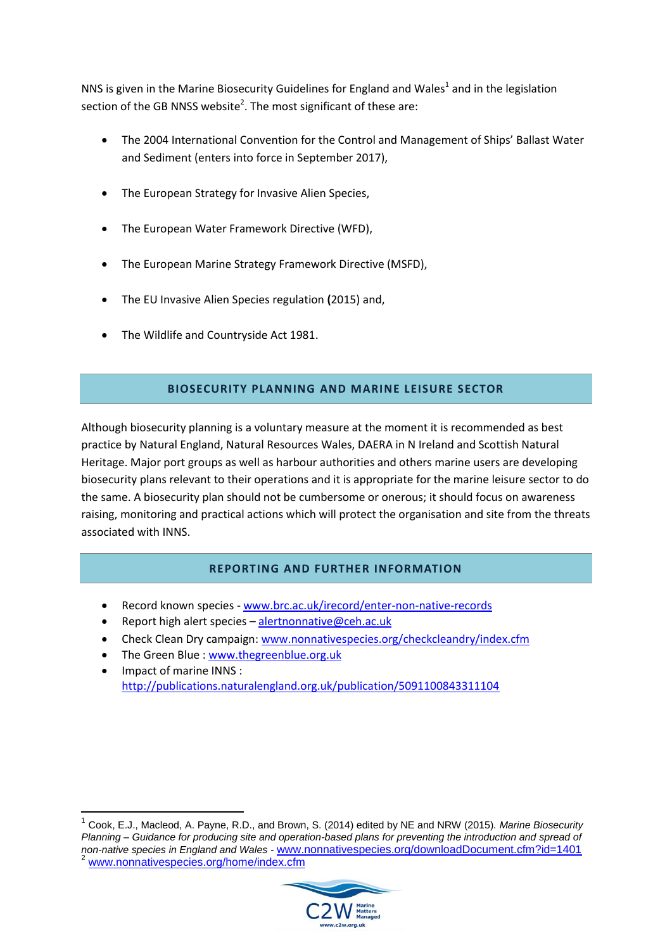NNS is given in the Marine Biosecurity Guidelines for England and Wales<sup>1</sup> and in the legislation section of the GB NNSS website<sup>2</sup>. The most significant of these are:

- The 2004 International Convention for the Control and Management of Ships' Ballast Water and Sediment (enters into force in September 2017),
- The European Strategy for Invasive Alien Species,
- The European Water Framework Directive (WFD),
- The European Marine Strategy Framework Directive (MSFD),
- The EU Invasive Alien Species regulation **(**2015) and,
- The Wildlife and Countryside Act 1981.

## **BIOSECURITY PLANNING AND MARINE LEISURE SECTOR**

Although biosecurity planning is a voluntary measure at the moment it is recommended as best practice by Natural England, Natural Resources Wales, DAERA in N Ireland and Scottish Natural Heritage. Major port groups as well as harbour authorities and others marine users are developing biosecurity plans relevant to their operations and it is appropriate for the marine leisure sector to do the same. A biosecurity plan should not be cumbersome or onerous; it should focus on awareness raising, monitoring and practical actions which will protect the organisation and site from the threats associated with INNS.

### **REPORTING AND FURTHER INFORMATION**

- Record known species [www.brc.ac.uk/irecord/enter-non-native-records](http://www.brc.ac.uk/irecord/enter-non-native-records)
- Report high alert species [alertnonnative@ceh.ac.uk](mailto:alertnonnative@ceh.ac.uk)
- Check Clean Dry campaign[: www.nonnativespecies.org/checkcleandry/index.cfm](http://www.nonnativespecies.org/checkcleandry/index.cfm)
- The Green Blue : [www.thegreenblue.org.uk](http://www.thegreenblue.org.uk/)

**.** 

 Impact of marine INNS : <http://publications.naturalengland.org.uk/publication/5091100843311104>

<sup>1</sup> Cook, E.J., Macleod, A. Payne, R.D., and Brown, S. (2014) edited by NE and NRW (2015). *Marine Biosecurity Planning – Guidance for producing site and operation-based plans for preventing the introduction and spread of non-native species in England and Wales* - [www.nonnativespecies.org/downloadDocument.cfm?id=1401](http://www.nonnativespecies.org/downloadDocument.cfm?id=1401) [www.nonnativespecies.org/home/index.cfm](http://www.nonnativespecies.org/home/index.cfm)

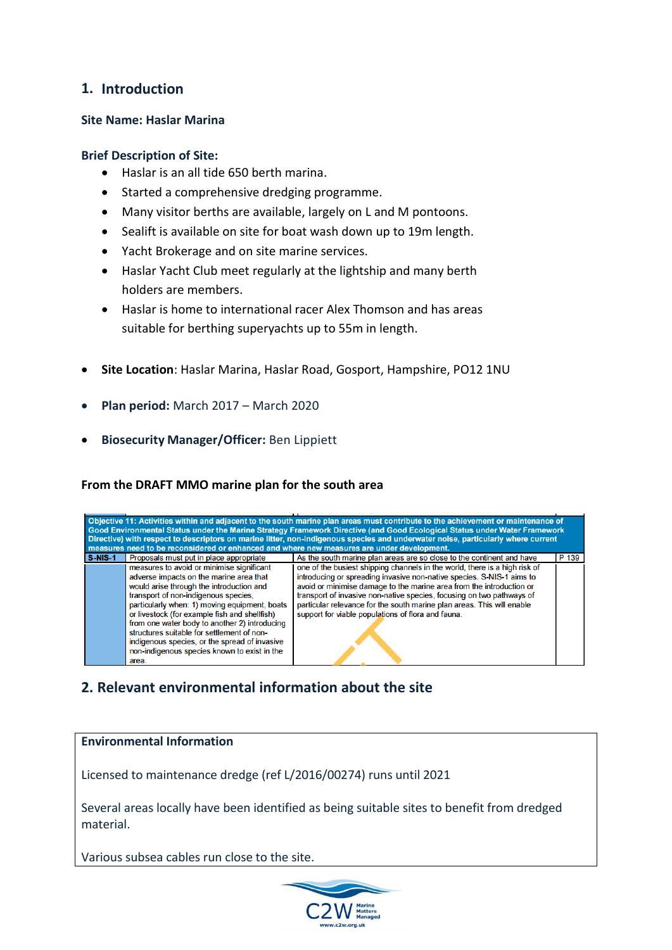## **1. Introduction**

## **Site Name: Haslar Marina**

## **Brief Description of Site:**

- Haslar is an all tide 650 berth marina.
- Started a comprehensive dredging programme.
- Many visitor berths are available, largely on L and M pontoons.
- Sealift is available on site for boat wash down up to 19m length.
- Yacht Brokerage and on site marine services.
- Haslar Yacht Club meet regularly at the lightship and many berth holders are members.
- Haslar is home to international racer Alex Thomson and has areas suitable for berthing superyachts up to 55m in length.
- **Site Location**: Haslar Marina, Haslar Road, Gosport, Hampshire, PO12 1NU
- **Plan period:** March 2017 March 2020
- **Biosecurity Manager/Officer:** Ben Lippiett

### **From the DRAFT MMO marine plan for the south area**



## **2. Relevant environmental information about the site**

#### **Environmental Information**

Licensed to maintenance dredge (ref L/2016/00274) runs until 2021

Several areas locally have been identified as being suitable sites to benefit from dredged material.

Various subsea cables run close to the site.

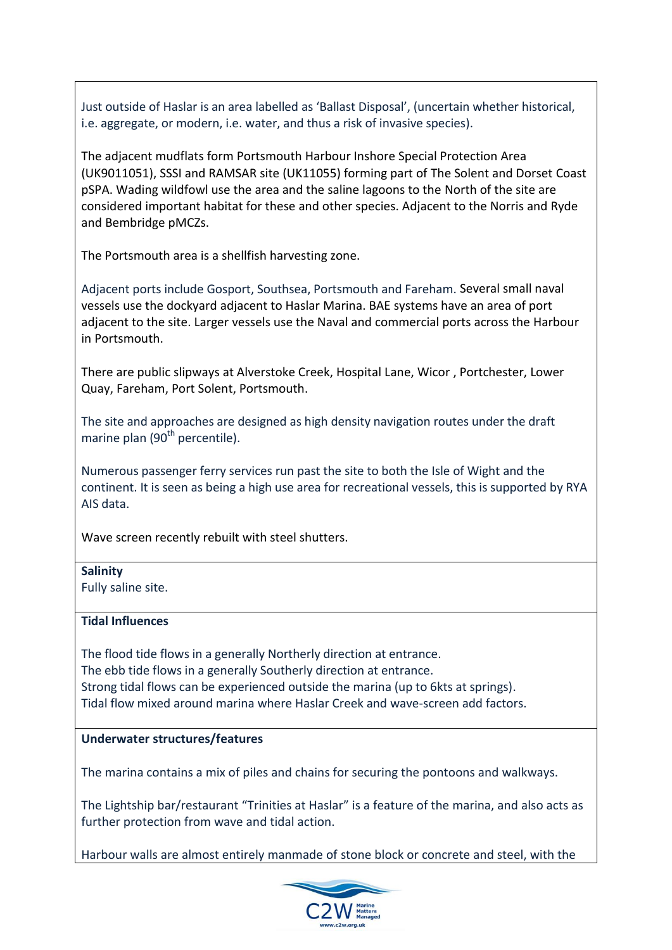Just outside of Haslar is an area labelled as 'Ballast Disposal', (uncertain whether historical, i.e. aggregate, or modern, i.e. water, and thus a risk of invasive species).

The adjacent mudflats form Portsmouth Harbour Inshore Special Protection Area (UK9011051), SSSI and RAMSAR site (UK11055) forming part of The Solent and Dorset Coast pSPA. Wading wildfowl use the area and the saline lagoons to the North of the site are considered important habitat for these and other species. Adjacent to the Norris and Ryde and Bembridge pMCZs.

The Portsmouth area is a shellfish harvesting zone.

Adjacent ports include Gosport, Southsea, Portsmouth and Fareham. Several small naval vessels use the dockyard adjacent to Haslar Marina. BAE systems have an area of port adjacent to the site. Larger vessels use the Naval and commercial ports across the Harbour in Portsmouth.

There are public slipways at Alverstoke Creek, Hospital Lane, Wicor , Portchester, Lower Quay, Fareham, Port Solent, Portsmouth.

The site and approaches are designed as high density navigation routes under the draft marine plan  $(90<sup>th</sup>$  percentile).

Numerous passenger ferry services run past the site to both the Isle of Wight and the continent. It is seen as being a high use area for recreational vessels, this is supported by RYA AIS data.

Wave screen recently rebuilt with steel shutters.

### **Salinity**

Fully saline site.

### **Tidal Influences**

The flood tide flows in a generally Northerly direction at entrance. The ebb tide flows in a generally Southerly direction at entrance. Strong tidal flows can be experienced outside the marina (up to 6kts at springs). Tidal flow mixed around marina where Haslar Creek and wave-screen add factors.

### **Underwater structures/features**

The marina contains a mix of piles and chains for securing the pontoons and walkways.

The Lightship bar/restaurant "Trinities at Haslar" is a feature of the marina, and also acts as further protection from wave and tidal action.

Harbour walls are almost entirely manmade of stone block or concrete and steel, with the

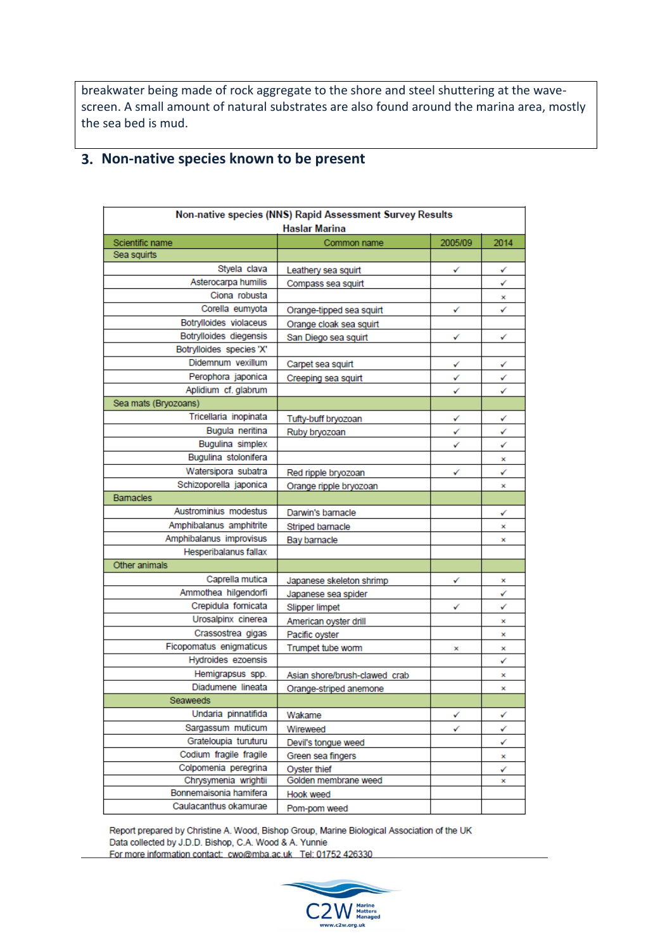breakwater being made of rock aggregate to the shore and steel shuttering at the wavescreen. A small amount of natural substrates are also found around the marina area, mostly the sea bed is mud.

## **3. Non-native species known to be present**

| Non-native species (NNS) Rapid Assessment Survey Results |                               |         |      |  |
|----------------------------------------------------------|-------------------------------|---------|------|--|
| <b>Haslar Marina</b>                                     |                               |         |      |  |
| Scientific name                                          | Common name                   | 2005/09 | 2014 |  |
| Sea squirts                                              |                               |         |      |  |
| Styela clava                                             | Leathery sea squirt           | ✓       | ✓    |  |
| Asterocarpa humilis                                      | Compass sea squirt            |         | ✓    |  |
| Ciona robusta                                            |                               |         | ×    |  |
| Corella eumyota                                          | Orange-tipped sea squirt      | ✓       | ✓    |  |
| Botrylloides violaceus                                   | Orange cloak sea squirt       |         |      |  |
| Botrylloides diegensis                                   | San Diego sea squirt          | ✓       | ✓    |  |
| Botrylloides species 'X'                                 |                               |         |      |  |
| Didemnum vexillum                                        | Carpet sea squirt             | ✓       | ✓    |  |
| Perophora japonica                                       | Creeping sea squirt           | ✓       | ✓    |  |
| Aplidium cf. glabrum                                     |                               | ✓       | ✓    |  |
| Sea mats (Bryozoans)                                     |                               |         |      |  |
| Tricellaria inopinata                                    | Tufty-buff bryozoan           | ✓       | ✓    |  |
| Bugula neritina                                          | Ruby bryozoan                 | ✓       | ✓    |  |
| Bugulina simplex                                         |                               | ✓       | ✓    |  |
| Bugulina stolonifera                                     |                               |         | ×    |  |
| Watersipora subatra                                      | Red ripple bryozoan           | ✓       | ✓    |  |
| Schizoporella japonica                                   | Orange ripple bryozoan        |         | ×    |  |
| <b>Bamacles</b>                                          |                               |         |      |  |
| Austrominius modestus                                    | Darwin's barnacle             |         | ✓    |  |
| Amphibalanus amphitrite                                  | Striped barnacle              |         | ×    |  |
| Amphibalanus improvisus                                  | Bay barnacle                  |         | ×    |  |
| Hesperibalanus fallax                                    |                               |         |      |  |
| Other animals                                            |                               |         |      |  |
| Caprella mutica                                          | Japanese skeleton shrimp      | ✓       | x    |  |
| Ammothea hilgendorfi                                     | Japanese sea spider           |         | ✓    |  |
| Crepidula fornicata                                      | Slipper limpet                | ✓       | ✓    |  |
| Urosalpinx cinerea                                       | American oyster drill         |         | ×    |  |
| Crassostrea gigas                                        | Pacific oyster                |         | ×    |  |
| Ficopomatus enigmaticus                                  | Trumpet tube worm             | ×       | ×    |  |
| Hydroides ezoensis                                       |                               |         | ✓    |  |
| Hemigrapsus spp.                                         | Asian shore/brush-clawed crab |         | ×    |  |
| Diadumene lineata                                        | Orange-striped anemone        |         | ×    |  |
| Seaweeds                                                 |                               |         |      |  |
| Undaria pinnatifida                                      | Wakame                        | V       | V    |  |
| Sargassum muticum                                        | Wireweed                      | ✓       | ✓    |  |
| Grateloupia turuturu                                     | Devil's tongue weed           |         | ✓    |  |
| Codium fragile fragile                                   | Green sea fingers             |         | ×    |  |
| Colpomenia peregrina                                     | Oyster thief                  |         | ✓    |  |
| Chrysymenia wrightii                                     | Golden membrane weed          |         | ×    |  |
| Bonnemaisonia hamifera                                   | Hook weed                     |         |      |  |
| Caulacanthus okamurae                                    | Pom-pom weed                  |         |      |  |

Report prepared by Christine A. Wood, Bishop Group, Marine Biological Association of the UK Data collected by J.D.D. Bishop, C.A. Wood & A. Yunnie For more information contact: cwo@mba.ac.uk Tel: 01752 426330

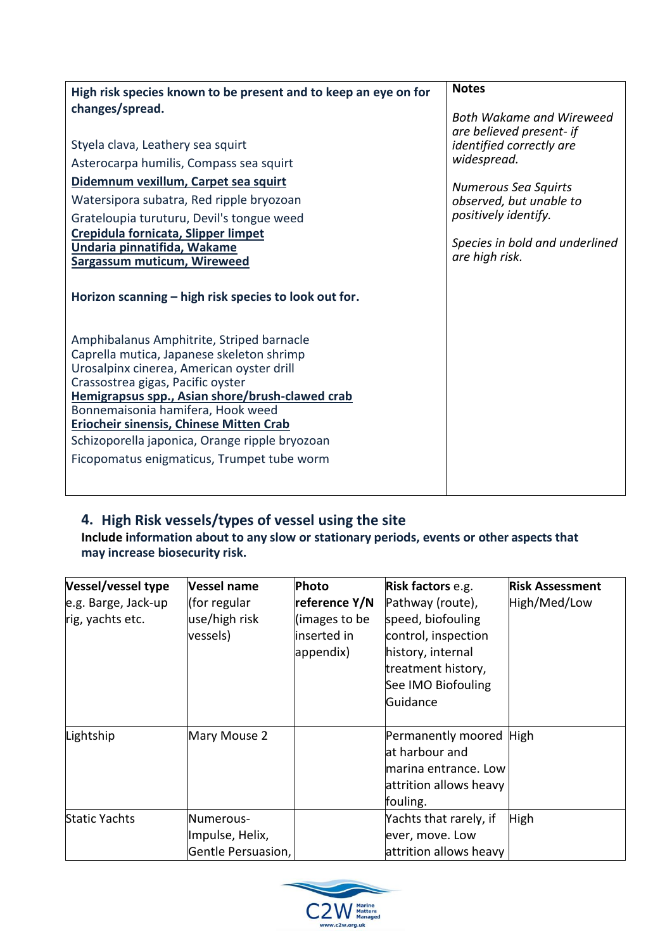| <b>Notes</b>                                                |
|-------------------------------------------------------------|
| <b>Both Wakame and Wireweed</b><br>are believed present- if |
| identified correctly are                                    |
| widespread.                                                 |
| Numerous Sea Squirts                                        |
| observed, but unable to                                     |
| positively identify.                                        |
| Species in bold and underlined<br>are high risk.            |
|                                                             |
|                                                             |
|                                                             |
|                                                             |
|                                                             |
|                                                             |
|                                                             |
|                                                             |
|                                                             |
|                                                             |

# **4. High Risk vessels/types of vessel using the site**

**Include information about to any slow or stationary periods, events or other aspects that may increase biosecurity risk.**

| Vessel/vessel type   | Vessel name        | Photo         | Risk factors e.g.       | <b>Risk Assessment</b> |
|----------------------|--------------------|---------------|-------------------------|------------------------|
| e.g. Barge, Jack-up  | (for regular       | reference Y/N | Pathway (route),        | High/Med/Low           |
| rig, yachts etc.     | use/high risk      | (images to be | speed, biofouling       |                        |
|                      | vessels)           | inserted in   | control, inspection     |                        |
|                      |                    | appendix)     | history, internal       |                        |
|                      |                    |               | treatment history,      |                        |
|                      |                    |               | See IMO Biofouling      |                        |
|                      |                    |               | Guidance                |                        |
|                      |                    |               |                         |                        |
| Lightship            | Mary Mouse 2       |               | Permanently moored High |                        |
|                      |                    |               | at harbour and          |                        |
|                      |                    |               | marina entrance. Low    |                        |
|                      |                    |               | attrition allows heavy  |                        |
|                      |                    |               | fouling.                |                        |
| <b>Static Yachts</b> | Numerous-          |               | Yachts that rarely, if  | High                   |
|                      | Impulse, Helix,    |               | ever, move. Low         |                        |
|                      | Gentle Persuasion, |               | attrition allows heavy  |                        |

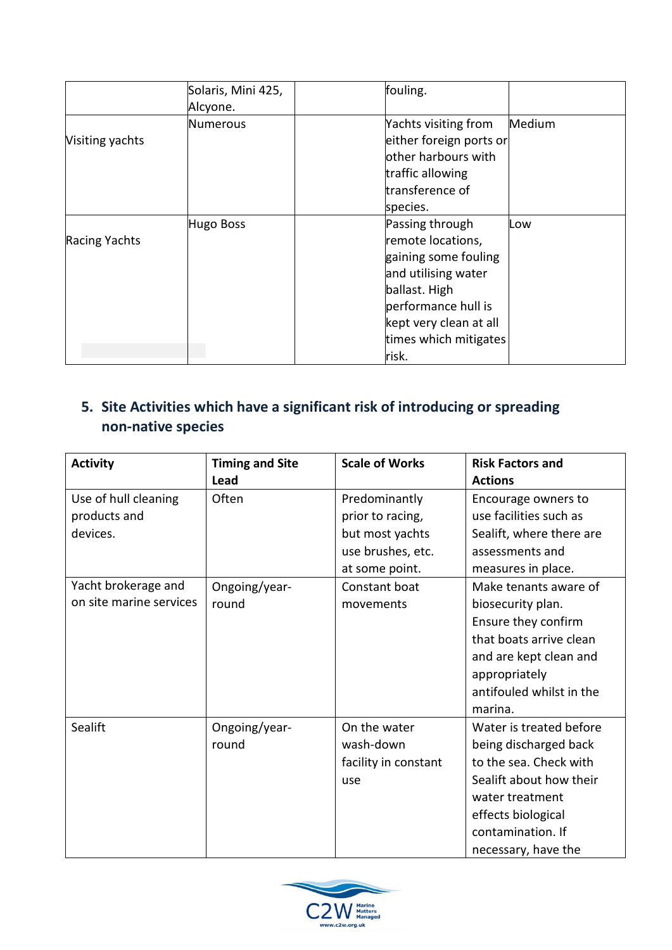|                 | Solaris, Mini 425, | fouling.                       |
|-----------------|--------------------|--------------------------------|
|                 | Alcyone.           |                                |
|                 | Numerous           | Medium<br>Yachts visiting from |
| Visiting yachts |                    | either foreign ports or        |
|                 |                    | other harbours with            |
|                 |                    | traffic allowing               |
|                 |                    | transference of                |
|                 |                    | species.                       |
|                 | Hugo Boss          | Passing through<br>Low         |
| Racing Yachts   |                    | remote locations,              |
|                 |                    | gaining some fouling           |
|                 |                    | and utilising water            |
|                 |                    | ballast. High                  |
|                 |                    | performance hull is            |
|                 |                    | kept very clean at all         |
|                 |                    | times which mitigates          |
|                 |                    | risk.                          |

## **5. Site Activities which have a significant risk of introducing or spreading non-native species**

| <b>Activity</b>         | <b>Timing and Site</b> | <b>Scale of Works</b> | <b>Risk Factors and</b>  |
|-------------------------|------------------------|-----------------------|--------------------------|
|                         | Lead                   |                       | <b>Actions</b>           |
| Use of hull cleaning    | Often                  | Predominantly         | Encourage owners to      |
| products and            |                        | prior to racing,      | use facilities such as   |
| devices.                |                        | but most yachts       | Sealift, where there are |
|                         |                        | use brushes, etc.     | assessments and          |
|                         |                        | at some point.        | measures in place.       |
| Yacht brokerage and     | Ongoing/year-          | Constant boat         | Make tenants aware of    |
| on site marine services | round                  | movements             | biosecurity plan.        |
|                         |                        |                       | Ensure they confirm      |
|                         |                        |                       | that boats arrive clean  |
|                         |                        |                       | and are kept clean and   |
|                         |                        |                       | appropriately            |
|                         |                        |                       | antifouled whilst in the |
|                         |                        |                       | marina.                  |
| Sealift                 | Ongoing/year-          | On the water          | Water is treated before  |
|                         | round                  | wash-down             | being discharged back    |
|                         |                        | facility in constant  | to the sea. Check with   |
|                         |                        | use                   | Sealift about how their  |
|                         |                        |                       | water treatment          |
|                         |                        |                       | effects biological       |
|                         |                        |                       | contamination. If        |
|                         |                        |                       | necessary, have the      |

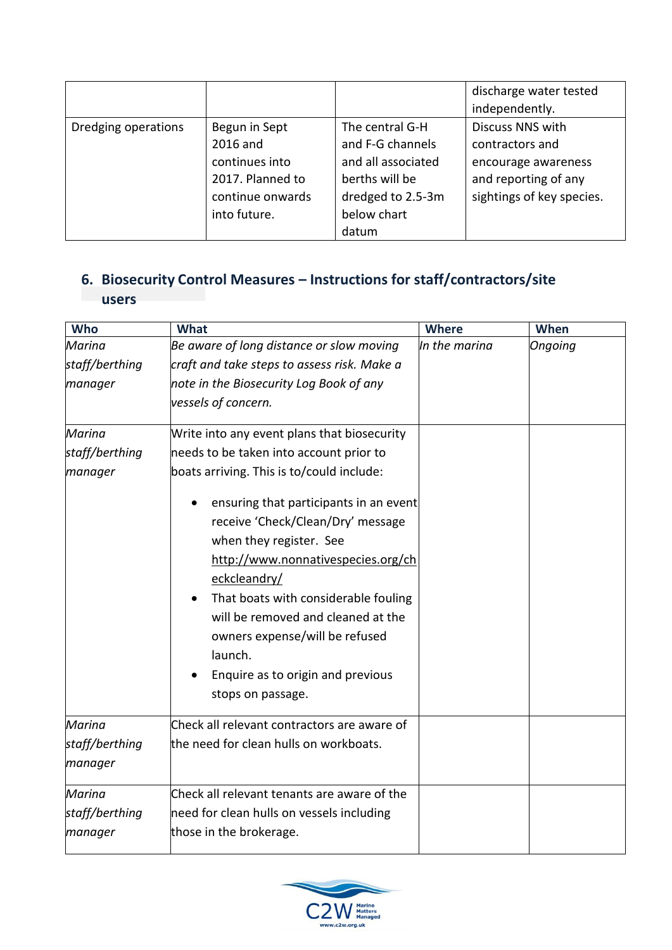|                     |                                                                                                     |                                                                                                                          | discharge water tested<br>independently.                                                                        |
|---------------------|-----------------------------------------------------------------------------------------------------|--------------------------------------------------------------------------------------------------------------------------|-----------------------------------------------------------------------------------------------------------------|
| Dredging operations | Begun in Sept<br>2016 and<br>continues into<br>2017. Planned to<br>continue onwards<br>into future. | The central G-H<br>and F-G channels<br>and all associated<br>berths will be<br>dredged to 2.5-3m<br>below chart<br>datum | Discuss NNS with<br>contractors and<br>encourage awareness<br>and reporting of any<br>sightings of key species. |

## **6. Biosecurity Control Measures – Instructions for staff/contractors/site users**

| Who            | What                                        | Where         | When    |
|----------------|---------------------------------------------|---------------|---------|
| Marina         | Be aware of long distance or slow moving    | In the marina | Ongoing |
| staff/berthing | craft and take steps to assess risk. Make a |               |         |
| manager        | note in the Biosecurity Log Book of any     |               |         |
|                | vessels of concern.                         |               |         |
| Marina         | Write into any event plans that biosecurity |               |         |
| staff/berthing | needs to be taken into account prior to     |               |         |
| manager        | boats arriving. This is to/could include:   |               |         |
|                | ensuring that participants in an event      |               |         |
|                | receive 'Check/Clean/Dry' message           |               |         |
|                | when they register. See                     |               |         |
|                | http://www.nonnativespecies.org/ch          |               |         |
|                | eckcleandry/                                |               |         |
|                | That boats with considerable fouling        |               |         |
|                | will be removed and cleaned at the          |               |         |
|                | owners expense/will be refused              |               |         |
|                | launch.                                     |               |         |
|                | Enquire as to origin and previous           |               |         |
|                | stops on passage.                           |               |         |
| Marina         | Check all relevant contractors are aware of |               |         |
| staff/berthing | the need for clean hulls on workboats.      |               |         |
| manager        |                                             |               |         |
| Marina         | Check all relevant tenants are aware of the |               |         |
| staff/berthing | need for clean hulls on vessels including   |               |         |
| manager        | those in the brokerage.                     |               |         |

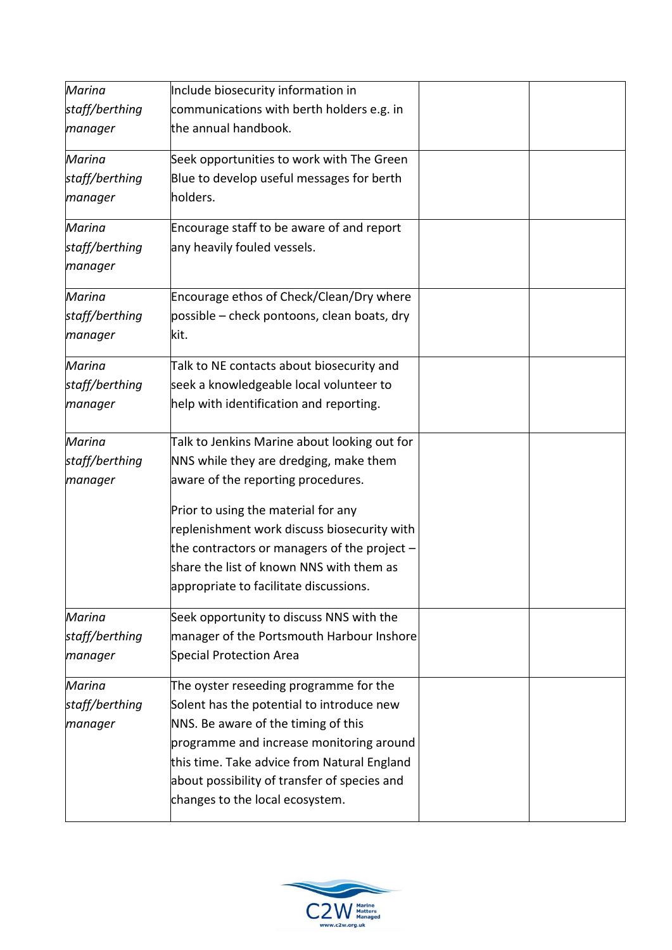| Include biosecurity information in           |                                 |  |
|----------------------------------------------|---------------------------------|--|
| communications with berth holders e.g. in    |                                 |  |
| the annual handbook.                         |                                 |  |
| Seek opportunities to work with The Green    |                                 |  |
| Blue to develop useful messages for berth    |                                 |  |
| holders.                                     |                                 |  |
| Encourage staff to be aware of and report    |                                 |  |
| any heavily fouled vessels.                  |                                 |  |
|                                              |                                 |  |
| Encourage ethos of Check/Clean/Dry where     |                                 |  |
| possible - check pontoons, clean boats, dry  |                                 |  |
| kit.                                         |                                 |  |
| Talk to NE contacts about biosecurity and    |                                 |  |
| seek a knowledgeable local volunteer to      |                                 |  |
| help with identification and reporting.      |                                 |  |
| Talk to Jenkins Marine about looking out for |                                 |  |
| NNS while they are dredging, make them       |                                 |  |
| aware of the reporting procedures.           |                                 |  |
| Prior to using the material for any          |                                 |  |
| replenishment work discuss biosecurity with  |                                 |  |
| the contractors or managers of the project - |                                 |  |
| share the list of known NNS with them as     |                                 |  |
| appropriate to facilitate discussions.       |                                 |  |
| Seek opportunity to discuss NNS with the     |                                 |  |
| manager of the Portsmouth Harbour Inshore    |                                 |  |
| <b>Special Protection Area</b>               |                                 |  |
| The oyster reseeding programme for the       |                                 |  |
| Solent has the potential to introduce new    |                                 |  |
| NNS. Be aware of the timing of this          |                                 |  |
| programme and increase monitoring around     |                                 |  |
| this time. Take advice from Natural England  |                                 |  |
| about possibility of transfer of species and |                                 |  |
|                                              |                                 |  |
|                                              | changes to the local ecosystem. |  |

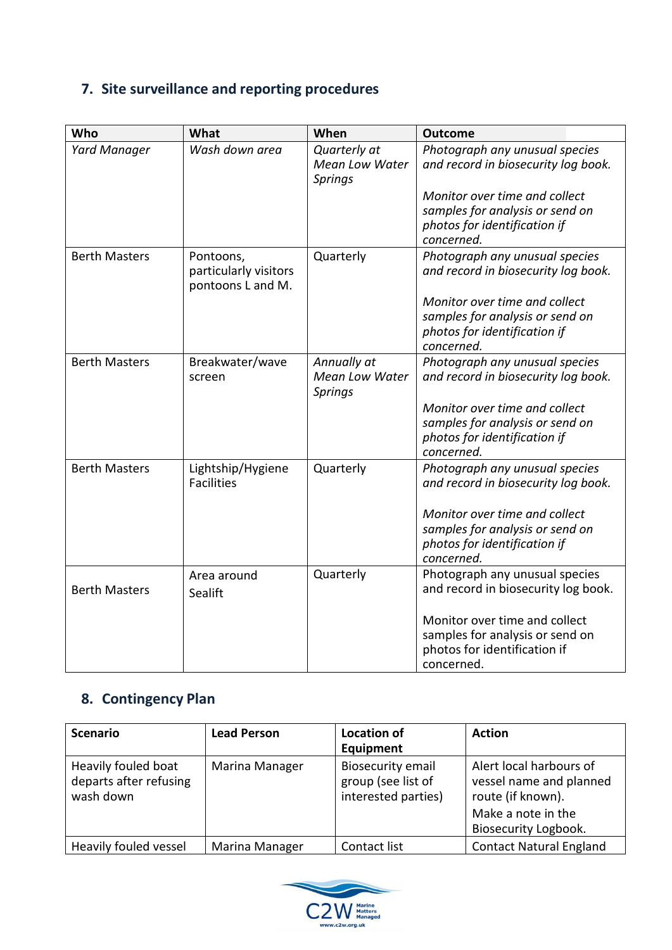# **7. Site surveillance and reporting procedures**

| Who                  | What                                                    | When                                                    | <b>Outcome</b>                                                                                                 |
|----------------------|---------------------------------------------------------|---------------------------------------------------------|----------------------------------------------------------------------------------------------------------------|
| Yard Manager         | Wash down area                                          | Quarterly at<br><b>Mean Low Water</b><br><b>Springs</b> | Photograph any unusual species<br>and record in biosecurity log book.<br>Monitor over time and collect         |
|                      |                                                         |                                                         | samples for analysis or send on<br>photos for identification if<br>concerned.                                  |
| <b>Berth Masters</b> | Pontoons,<br>particularly visitors<br>pontoons L and M. | Quarterly                                               | Photograph any unusual species<br>and record in biosecurity log book.                                          |
|                      |                                                         |                                                         | Monitor over time and collect<br>samples for analysis or send on<br>photos for identification if<br>concerned. |
| <b>Berth Masters</b> | Breakwater/wave<br>screen                               | Annually at<br><b>Mean Low Water</b><br><b>Springs</b>  | Photograph any unusual species<br>and record in biosecurity log book.                                          |
|                      |                                                         |                                                         | Monitor over time and collect<br>samples for analysis or send on<br>photos for identification if<br>concerned. |
| <b>Berth Masters</b> | Lightship/Hygiene<br><b>Facilities</b>                  | Quarterly                                               | Photograph any unusual species<br>and record in biosecurity log book.                                          |
|                      |                                                         |                                                         | Monitor over time and collect<br>samples for analysis or send on<br>photos for identification if<br>concerned. |
| <b>Berth Masters</b> | Area around<br>Sealift                                  | Quarterly                                               | Photograph any unusual species<br>and record in biosecurity log book.                                          |
|                      |                                                         |                                                         | Monitor over time and collect<br>samples for analysis or send on<br>photos for identification if<br>concerned. |

# **8. Contingency Plan**

| <b>Scenario</b>                                            | <b>Lead Person</b> | <b>Location of</b><br>Equipment                                       | <b>Action</b>                                                                                                         |
|------------------------------------------------------------|--------------------|-----------------------------------------------------------------------|-----------------------------------------------------------------------------------------------------------------------|
| Heavily fouled boat<br>departs after refusing<br>wash down | Marina Manager     | <b>Biosecurity email</b><br>group (see list of<br>interested parties) | Alert local harbours of<br>vessel name and planned<br>route (if known).<br>Make a note in the<br>Biosecurity Logbook. |
| Heavily fouled vessel                                      | Marina Manager     | Contact list                                                          | <b>Contact Natural England</b>                                                                                        |

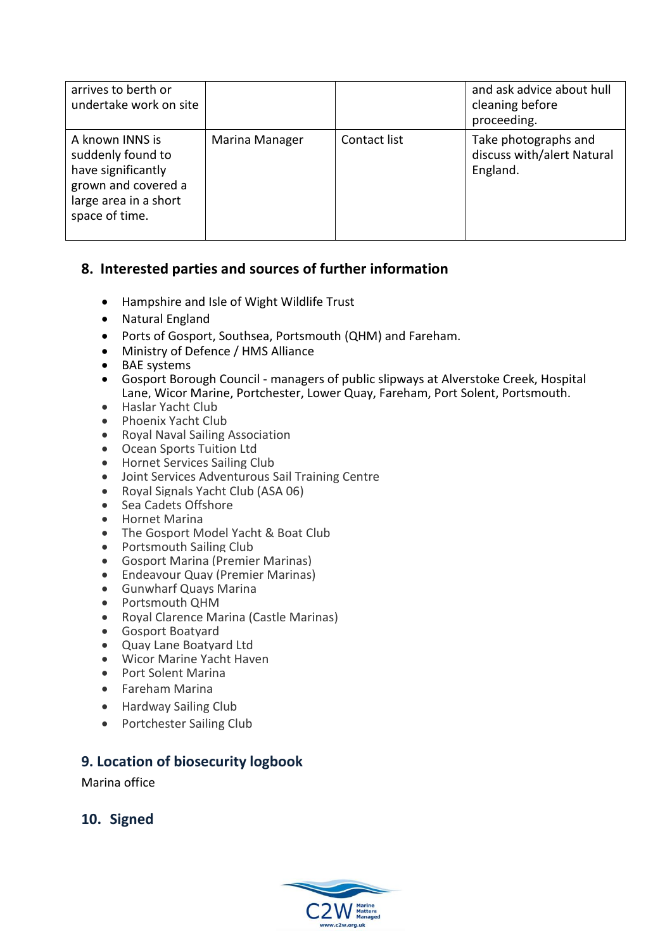| arrives to berth or<br>undertake work on site                                                                                |                |              | and ask advice about hull<br>cleaning before<br>proceeding.    |
|------------------------------------------------------------------------------------------------------------------------------|----------------|--------------|----------------------------------------------------------------|
| A known INNS is<br>suddenly found to<br>have significantly<br>grown and covered a<br>large area in a short<br>space of time. | Marina Manager | Contact list | Take photographs and<br>discuss with/alert Natural<br>England. |

## **8. Interested parties and sources of further information**

- Hampshire and Isle of Wight Wildlife Trust
- Natural England
- Ports of Gosport, Southsea, Portsmouth (QHM) and Fareham.
- Ministry of Defence / HMS Alliance
- BAE systems
- Gosport Borough Council managers of public slipways at Alverstoke Creek, Hospital Lane, Wicor Marine, Portchester, Lower Quay, Fareham, Port Solent, Portsmouth.
- Haslar Yacht Club
- Phoenix Yacht Club
- Royal Naval Sailing Association
- Ocean Sports Tuition Ltd<br>• Hornet Services Sailing Cl
- Hornet Services Sailing Club
- Joint Services Adventurous Sail Training Centre
- Royal Signals Yacht Club (ASA 06)
- Sea Cadets Offshore
- Hornet Marina
- The Gosport Model Yacht & Boat Club
- Portsmouth Sailing Club
- Gosport Marina (Premier Marinas)
- Endeavour Quay (Premier Marinas)
- Gunwharf Quays Marina<br>• Portsmouth OHM
- Portsmouth QHM
- Royal Clarence Marina (Castle Marinas)
- Gosport Boatyard
- Quay Lane Boatyard Ltd
- Wicor Marine Yacht Haven
- Port Solent Marina
- Fareham Marina
- Hardway Sailing Club
- Portchester Sailing Club

## **9. Location of biosecurity logbook**

Marina office

**10. Signed**